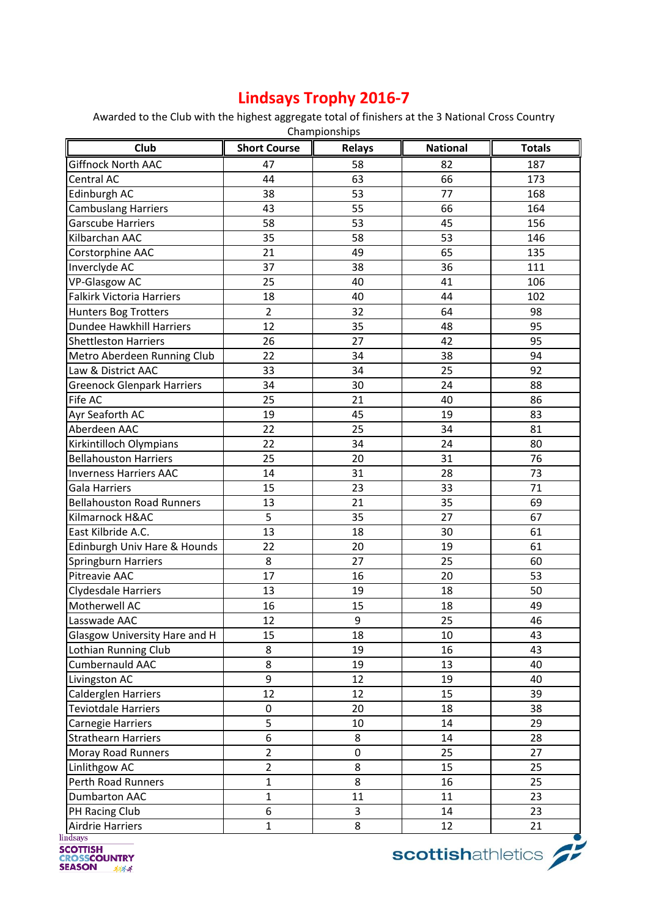## **Lindsays Trophy 2016-7**

Awarded to the Club with the highest aggregate total of finishers at the 3 National Cross Country Championships

| Club                              | <b>Short Course</b> | <b>Relays</b> | <b>National</b> | <b>Totals</b> |
|-----------------------------------|---------------------|---------------|-----------------|---------------|
| <b>Giffnock North AAC</b>         | 47                  | 58            | 82              | 187           |
| Central AC                        | 44                  | 63            | 66              | 173           |
| Edinburgh AC                      | 38                  | 53            | 77              | 168           |
| <b>Cambuslang Harriers</b>        | 43                  | 55            | 66              | 164           |
| <b>Garscube Harriers</b>          | 58                  | 53            | 45              | 156           |
| Kilbarchan AAC                    | 35                  | 58            | 53              | 146           |
| Corstorphine AAC                  | 21                  | 49            | 65              | 135           |
| Inverclyde AC                     | 37                  | 38            | 36              | 111           |
| <b>VP-Glasgow AC</b>              | 25                  | 40            | 41              | 106           |
| Falkirk Victoria Harriers         | 18                  | 40            | 44              | 102           |
| Hunters Bog Trotters              | $\overline{2}$      | 32            | 64              | 98            |
| Dundee Hawkhill Harriers          | 12                  | 35            | 48              | 95            |
| <b>Shettleston Harriers</b>       | 26                  | 27            | 42              | 95            |
| Metro Aberdeen Running Club       | 22                  | 34            | 38              | 94            |
| Law & District AAC                | 33                  | 34            | 25              | 92            |
| <b>Greenock Glenpark Harriers</b> | 34                  | 30            | 24              | 88            |
| Fife AC                           | 25                  | 21            | 40              | 86            |
| Ayr Seaforth AC                   | 19                  | 45            | 19              | 83            |
| Aberdeen AAC                      | 22                  | 25            | 34              | 81            |
| Kirkintilloch Olympians           | 22                  | 34            | 24              | 80            |
| <b>Bellahouston Harriers</b>      | 25                  | 20            | 31              | 76            |
| <b>Inverness Harriers AAC</b>     | 14                  | 31            | 28              | 73            |
| <b>Gala Harriers</b>              | 15                  | 23            | 33              | 71            |
| <b>Bellahouston Road Runners</b>  | 13                  | 21            | 35              | 69            |
| Kilmarnock H&AC                   | 5                   | 35            | 27              | 67            |
| East Kilbride A.C.                | 13                  | 18            | 30              | 61            |
| Edinburgh Univ Hare & Hounds      | 22                  | 20            | 19              | 61            |
| Springburn Harriers               | 8                   | 27            | 25              | 60            |
| Pitreavie AAC                     | 17                  | 16            | 20              | 53            |
| Clydesdale Harriers               | 13                  | 19            | 18              | 50            |
| Motherwell AC                     | 16                  | 15            | 18              | 49            |
| Lasswade AAC                      | 12                  | 9             | 25              | 46            |
| Glasgow University Hare and H     | 15                  | 18            | 10              | 43            |
| Lothian Running Club              | 8                   | 19            | 16              | 43            |
| Cumbernauld AAC                   | 8                   | 19            | 13              | 40            |
| Livingston AC                     | 9                   | 12            | 19              | 40            |
| Calderglen Harriers               | 12                  | 12            | 15              | 39            |
| <b>Teviotdale Harriers</b>        | $\pmb{0}$           | 20            | 18              | 38            |
| Carnegie Harriers                 | 5                   | 10            | 14              | 29            |
| <b>Strathearn Harriers</b>        | 6                   | 8             | 14              | 28            |
| Moray Road Runners                | $\overline{2}$      | $\pmb{0}$     | 25              | 27            |
| Linlithgow AC                     | $\overline{2}$      | 8             | 15              | 25            |
| Perth Road Runners                | $\mathbf{1}$        | 8             | 16              | 25            |
| <b>Dumbarton AAC</b>              | $\mathbf{1}$        | 11            | 11              | 23            |
| PH Racing Club                    | 6                   | 3             | 14              | 23            |
| Airdrie Harriers                  | $\mathbf 1$         | 8             | 12              | 21            |

**EXAMPLE SCOTTISH<br>
CROSSCOUNTRY<br>
SEASON** 

scottishathletics